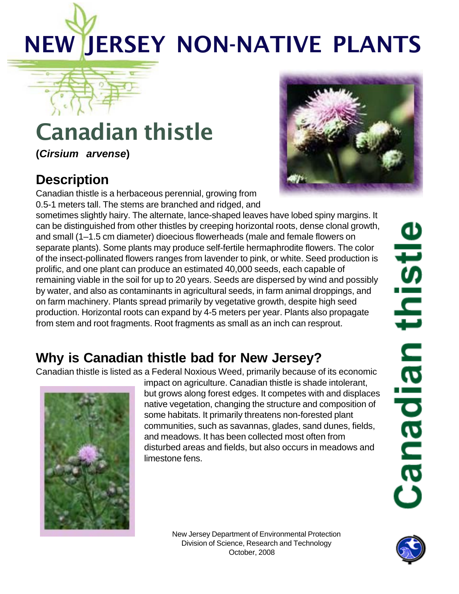# NEW JERSEY NON-NATIVE PLANTS

## Canadian thistle

**(***Cirsium arvense***)**

#### **Description**

Canadian thistle is a herbaceous perennial, growing from 0.5-1 meters tall. The stems are branched and ridged, and

sometimes slightly hairy. The alternate, lance-shaped leaves have lobed spiny margins. It can be distinguished from other thistles by creeping horizontal roots, dense clonal growth, and small (1–1.5 cm diameter) dioecious flowerheads (male and female flowers on separate plants). Some plants may produce self-fertile hermaphrodite flowers. The color of the insect-pollinated flowers ranges from lavender to pink, or white. Seed production is prolific, and one plant can produce an estimated 40,000 seeds, each capable of remaining viable in the soil for up to 20 years. Seeds are dispersed by wind and possibly by water, and also as contaminants in agricultural seeds, in farm animal droppings, and on farm machinery. Plants spread primarily by vegetative growth, despite high seed production. Horizontal roots can expand by 4-5 meters per year. Plants also propagate from stem and root fragments. Root fragments as small as an inch can resprout.

### **Why is Canadian thistle bad for New Jersey?**

Canadian thistle is listed as a Federal Noxious Weed, primarily because of its economic



impact on agriculture. Canadian thistle is shade intolerant, but grows along forest edges. It competes with and displaces native vegetation, changing the structure and composition of some habitats. It primarily threatens non-forested plant communities, such as savannas, glades, sand dunes, fields, and meadows. It has been collected most often from disturbed areas and fields, but also occurs in meadows and limestone fens.



New Jersey Department of Environmental Protection Division of Science, Research and Technology October, 2008